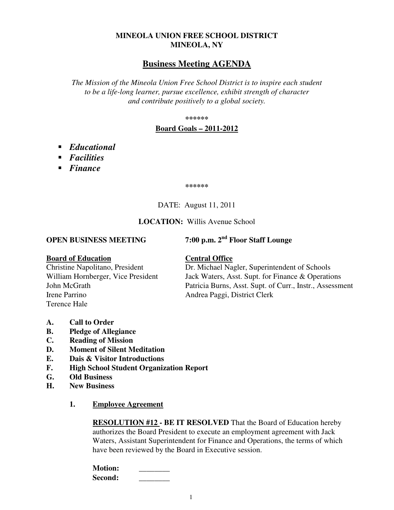## **MINEOLA UNION FREE SCHOOL DISTRICT MINEOLA, NY**

# **Business Meeting AGENDA**

*The Mission of the Mineola Union Free School District is to inspire each student to be a life-long learner, pursue excellence, exhibit strength of character and contribute positively to a global society.* 

**\*\*\*\*\*\*** 

#### **Board Goals – 2011-2012**

- *Educational*
- *Facilities*
- *Finance*

**\*\*\*\*\*\*** 

### DATE: August 11, 2011

#### **LOCATION:** Willis Avenue School

**OPEN BUSINESS MEETING 7:00 p.m. 2nd Floor Staff Lounge** 

**Board of Education**<br>Christine Napolitano, President **Central Office**<br>Dr. Michael Na Irene Parrino Andrea Paggi, District Clerk Terence Hale

Dr. Michael Nagler, Superintendent of Schools William Hornberger, Vice President Jack Waters, Asst. Supt. for Finance & Operations John McGrath Patricia Burns, Asst. Supt. of Curr., Instr., Assessment

- **A. Call to Order**
- **B. Pledge of Allegiance**
- **C. Reading of Mission**
- **D. Moment of Silent Meditation**
- **E. Dais & Visitor Introductions**
- **F. High School Student Organization Report**
- **G. Old Business**
- **H. New Business** 
	- **1. Employee Agreement**

**RESOLUTION #12 - BE IT RESOLVED** That the Board of Education hereby authorizes the Board President to execute an employment agreement with Jack Waters, Assistant Superintendent for Finance and Operations, the terms of which have been reviewed by the Board in Executive session.

**Motion:** \_\_\_\_\_\_\_\_ Second: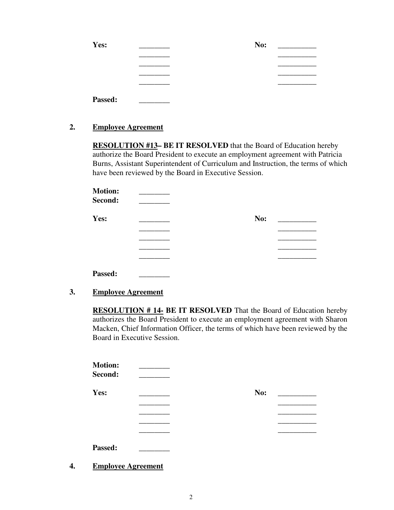| Yes:    | No: |
|---------|-----|
|         |     |
|         |     |
|         |     |
|         |     |
| Passed: |     |

#### **2. Employee Agreement**

**RESOLUTION #13– BE IT RESOLVED** that the Board of Education hereby authorize the Board President to execute an employment agreement with Patricia Burns, Assistant Superintendent of Curriculum and Instruction, the terms of which have been reviewed by the Board in Executive Session.

| <b>Motion:</b><br>Second: |     |  |
|---------------------------|-----|--|
| Yes:                      | No: |  |
|                           |     |  |
|                           |     |  |
|                           |     |  |
|                           |     |  |
| Passed:                   |     |  |

**3. Employee Agreement**

**RESOLUTION # 14- BE IT RESOLVED** That the Board of Education hereby authorizes the Board President to execute an employment agreement with Sharon Macken, Chief Information Officer, the terms of which have been reviewed by the Board in Executive Session.

| <b>Motion:</b><br>Second: |     |  |
|---------------------------|-----|--|
| Yes:                      | No: |  |
|                           |     |  |
|                           |     |  |
|                           |     |  |
|                           |     |  |
| Passed:                   |     |  |

**4. Employee Agreement**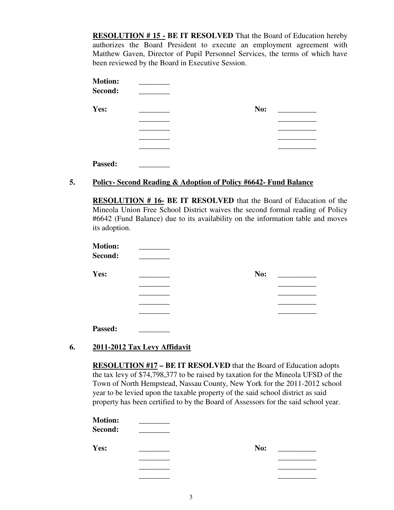**RESOLUTION # 15 - BE IT RESOLVED** That the Board of Education hereby authorizes the Board President to execute an employment agreement with Matthew Gaven, Director of Pupil Personnel Services, the terms of which have been reviewed by the Board in Executive Session.

| <b>Motion:</b><br>Second: |     |  |
|---------------------------|-----|--|
| Yes:                      | No: |  |
|                           |     |  |
|                           |     |  |
|                           |     |  |
|                           |     |  |
| Passed:                   |     |  |

## **5. Policy- Second Reading & Adoption of Policy #6642- Fund Balance**

**RESOLUTION # 16- BE IT RESOLVED** that the Board of Education of the Mineola Union Free School District waives the second formal reading of Policy #6642 (Fund Balance) due to its availability on the information table and moves its adoption.

| <b>Motion:</b><br>Second: |     |
|---------------------------|-----|
| Yes:                      | No: |
|                           |     |
|                           |     |
|                           |     |
|                           |     |
| Passed:                   |     |

## **6. 2011-2012 Tax Levy Affidavit**

**RESOLUTION #17 – BE IT RESOLVED** that the Board of Education adopts the tax levy of \$74,798,377 to be raised by taxation for the Mineola UFSD of the Town of North Hempstead, Nassau County, New York for the 2011-2012 school year to be levied upon the taxable property of the said school district as said property has been certified to by the Board of Assessors for the said school year.

**Motion:** \_\_\_\_\_\_\_\_ Second: **Yes:** \_\_\_\_\_\_\_\_ **No:** \_\_\_\_\_\_\_\_\_\_  $\overline{\phantom{a}}$  , which is a set of the contract of the contract of the contract of the contract of the contract of the contract of the contract of the contract of the contract of the contract of the contract of the contract  $\overline{\phantom{a}}$  , which is a set of the contract of the contract of the contract of the contract of the contract of the contract of the contract of the contract of the contract of the contract of the contract of the contract  $\overline{\phantom{a}}$  , which is a set of the contract of the contract of the contract of the contract of the contract of the contract of the contract of the contract of the contract of the contract of the contract of the contract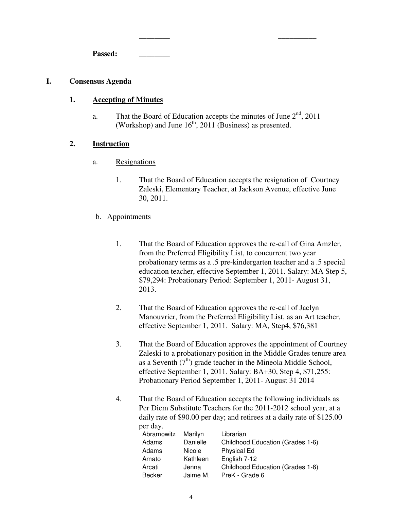Passed:

#### **I. Consensus Agenda**

#### **1. Accepting of Minutes**

a. That the Board of Education accepts the minutes of June  $2<sup>nd</sup>$ , 2011 (Workshop) and June  $16<sup>th</sup>$ , 2011 (Business) as presented.

 $\overline{\phantom{a}}$  , which is a set of the contract of the contract of the contract of the contract of the contract of the contract of the contract of the contract of the contract of the contract of the contract of the contract

#### **2. Instruction**

- a. Resignations
	- 1. That the Board of Education accepts the resignation of Courtney Zaleski, Elementary Teacher, at Jackson Avenue, effective June 30, 2011.
- b. Appointments
	- 1. That the Board of Education approves the re-call of Gina Amzler, from the Preferred Eligibility List, to concurrent two year probationary terms as a .5 pre-kindergarten teacher and a .5 special education teacher, effective September 1, 2011. Salary: MA Step 5, \$79,294: Probationary Period: September 1, 2011- August 31, 2013.
	- 2. That the Board of Education approves the re-call of Jaclyn Manouvrier, from the Preferred Eligibility List, as an Art teacher, effective September 1, 2011. Salary: MA, Step4, \$76,381
	- 3. That the Board of Education approves the appointment of Courtney Zaleski to a probationary position in the Middle Grades tenure area as a Seventh  $(7<sup>th</sup>)$  grade teacher in the Mineola Middle School, effective September 1, 2011. Salary: BA+30, Step 4, \$71,255: Probationary Period September 1, 2011- August 31 2014
	- 4. That the Board of Education accepts the following individuals as Per Diem Substitute Teachers for the 2011-2012 school year, at a daily rate of \$90.00 per day; and retirees at a daily rate of \$125.00 per day.

| UI UA Y.   |               |                                  |
|------------|---------------|----------------------------------|
| Abramowitz | Marilyn       | Librarian                        |
| Adams      | Danielle      | Childhood Education (Grades 1-6) |
| Adams      | <b>Nicole</b> | <b>Physical Ed</b>               |
| Amato      | Kathleen      | English 7-12                     |
| Arcati     | Jenna         | Childhood Education (Grades 1-6) |
| Becker     | Jaime M.      | PreK - Grade 6                   |
|            |               |                                  |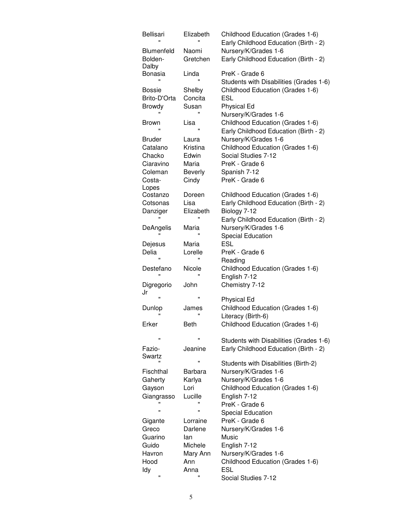| <b>Bellisari</b>        | Elizabeth               | Childhood Education (Grades 1-6)<br>Early Childhood Education (Birth - 2) |
|-------------------------|-------------------------|---------------------------------------------------------------------------|
| <b>Blumenfeld</b>       | Naomi                   | Nursery/K/Grades 1-6                                                      |
| Bolden-                 | Gretchen                | Early Childhood Education (Birth - 2)                                     |
| Dalby                   |                         |                                                                           |
| Bonasia<br>$\mathbf{u}$ | Linda<br>$\blacksquare$ | PreK - Grade 6<br>Students with Disabilities (Grades 1-6)                 |
| <b>Bossie</b>           | Shelby                  | Childhood Education (Grades 1-6)                                          |
| Brito-D'Orta            | Concita                 | <b>ESL</b>                                                                |
| <b>Browdy</b>           | Susan                   | <b>Physical Ed</b>                                                        |
|                         | $\mathbf{u}$            | Nursery/K/Grades 1-6                                                      |
| <b>Brown</b>            | Lisa                    | Childhood Education (Grades 1-6)                                          |
|                         | $\mathbf{u}$            | Early Childhood Education (Birth - 2)                                     |
| <b>Bruder</b>           | Laura                   | Nursery/K/Grades 1-6                                                      |
| Catalano                | Kristina                | Childhood Education (Grades 1-6)                                          |
| Chacko                  | Edwin                   | Social Studies 7-12                                                       |
| Ciaravino               | Maria                   | PreK - Grade 6                                                            |
| Coleman                 | <b>Beverly</b>          | Spanish 7-12                                                              |
| Costa-                  | Cindy                   | PreK - Grade 6                                                            |
| Lopes                   |                         |                                                                           |
| Costanzo                | Doreen                  | Childhood Education (Grades 1-6)                                          |
| Cotsonas                | Lisa                    | Early Childhood Education (Birth - 2)                                     |
| Danziger                | Elizabeth               | Biology 7-12                                                              |
|                         | Ħ                       | Early Childhood Education (Birth - 2)                                     |
| DeAngelis               | Maria                   | Nursery/K/Grades 1-6                                                      |
|                         |                         | <b>Special Education</b>                                                  |
| Dejesus                 | Maria                   | ESL                                                                       |
| Delia                   | Lorelle                 | PreK - Grade 6                                                            |
|                         |                         | Reading                                                                   |
| Destefano               | Nicole                  | Childhood Education (Grades 1-6)                                          |
|                         | $\mathbf{u}$            | English 7-12                                                              |
| Digregorio              | John                    | Chemistry 7-12                                                            |
| Jr                      |                         |                                                                           |
| $\mathbf{u}$            | Ħ                       | <b>Physical Ed</b>                                                        |
| Dunlop                  | James                   | Childhood Education (Grades 1-6)                                          |
| π                       | $\mathbf{u}$            | Literacy (Birth-6)                                                        |
| Erker                   | <b>Beth</b>             | Childhood Education (Grades 1-6)                                          |
|                         |                         |                                                                           |
| Ħ                       | Ħ                       | Students with Disabilities (Grades 1-6)                                   |
| Fazio-                  | Jeanine                 | Early Childhood Education (Birth - 2)                                     |
| Swartz                  |                         |                                                                           |
|                         | Ħ                       | Students with Disabilities (Birth-2)                                      |
| Fischthal               | Barbara                 | Nursery/K/Grades 1-6                                                      |
| Gaherty                 | Karlya                  | Nursery/K/Grades 1-6                                                      |
| Gayson                  | Lori                    | Childhood Education (Grades 1-6)                                          |
| Giangrasso              | Lucille                 | English 7-12                                                              |
|                         |                         | PreK - Grade 6                                                            |
| Ħ                       | Ħ                       | <b>Special Education</b>                                                  |
| Gigante                 | Lorraine                | PreK - Grade 6                                                            |
| Greco                   | Darlene                 | Nursery/K/Grades 1-6                                                      |
| Guarino                 | lan                     | Music                                                                     |
| Guido                   | Michele                 | English 7-12                                                              |
| Havron                  | Mary Ann                | Nursery/K/Grades 1-6                                                      |
| Hood                    | Ann                     | Childhood Education (Grades 1-6)                                          |
| Idy                     | Anna                    | <b>ESL</b>                                                                |
| Ħ                       |                         | Social Studies 7-12                                                       |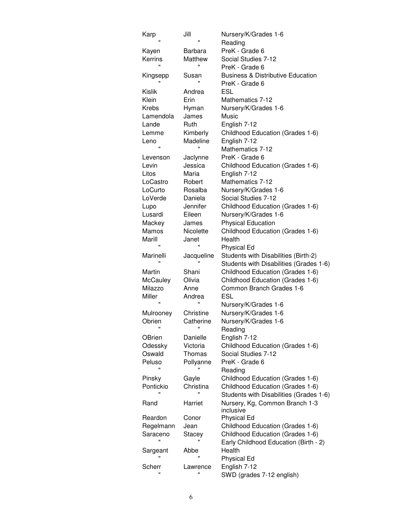| Karp           | Jill           | Nursery/K/Grades 1-6                         |
|----------------|----------------|----------------------------------------------|
|                |                | Reading                                      |
| Kayen          | Barbara        | PreK - Grade 6                               |
| Kerrins        | Matthew        | Social Studies 7-12                          |
| Ħ              | $\blacksquare$ | PreK - Grade 6                               |
| Kingsepp       | Susan          | <b>Business &amp; Distributive Education</b> |
|                |                | PreK - Grade 6                               |
| Kislik         | Andrea         | ESL                                          |
| Klein          | Erin           | Mathematics 7-12                             |
| Krebs          | Hyman          | Nursery/K/Grades 1-6                         |
| Lamendola      | James          | Music                                        |
| Lande          | Ruth           | English 7-12                                 |
| Lemme          | Kimberly       | Childhood Education (Grades 1-6)             |
| Leno           | Madeline       | English 7-12                                 |
| $\mathbf{u}$   | Ħ              | Mathematics 7-12                             |
| Levenson       | Jaclynne       | PreK - Grade 6                               |
| Levin          | Jessica        | Childhood Education (Grades 1-6)             |
| Litos          | Maria          | English 7-12                                 |
| LoCastro       | Robert         | Mathematics 7-12                             |
| LoCurto        | Rosalba        | Nursery/K/Grades 1-6                         |
| LoVerde        | Daniela        | Social Studies 7-12                          |
| Lupo           | Jennifer       | Childhood Education (Grades 1-6)             |
| Lusardi        | Eileen         | Nursery/K/Grades 1-6                         |
| Mackey         | James          | <b>Physical Education</b>                    |
| Mamos          | Nicolette      | Childhood Education (Grades 1-6)             |
| Marill         | Janet          | Health                                       |
|                | Ħ              | <b>Physical Ed</b>                           |
| Marinelli      | Jacqueline     | Students with Disabilities (Birth-2)         |
|                |                | Students with Disabilities (Grades 1-6)      |
| Martin         | Shani          | Childhood Education (Grades 1-6)             |
| McCauley       | Olivia         | Childhood Education (Grades 1-6)             |
| Milazzo        | Anne           | Common Branch Grades 1-6                     |
| Miller         | Andrea         | <b>ESL</b>                                   |
| $\mathbf{u}$   |                | Nursery/K/Grades 1-6                         |
| Mulrooney      | Christine      | Nursery/K/Grades 1-6                         |
| Obrien         | Catherine      | Nursery/K/Grades 1-6                         |
|                |                | Reading                                      |
| OBrien         | Danielle       | English 7-12                                 |
| Odessky        | Victoria       | Childhood Education (Grades 1-6)             |
| Oswald         | Thomas         | Social Studies 7-12                          |
| Peluso         | Pollyanne      | PreK - Grade 6                               |
| $\blacksquare$ | π              | Reading                                      |
| Pinsky         | Gayle          | Childhood Education (Grades 1-6)             |
| Pontickio      | Christina      | Childhood Education (Grades 1-6)             |
|                | $\blacksquare$ | Students with Disabilities (Grades 1-6)      |
| Rand           | Harriet        | Nursery, Kg, Common Branch 1-3               |
|                |                | inclusive                                    |
| Reardon        | Conor          | <b>Physical Ed</b>                           |
| Regelmann      | Jean           | Childhood Education (Grades 1-6)             |
| Saraceno       | Stacey         | Childhood Education (Grades 1-6)             |
|                |                | Early Childhood Education (Birth - 2)        |
| Sargeant       | Abbe           | Health                                       |
|                |                | <b>Physical Ed</b>                           |
| Scherr         | Lawrence       | English 7-12                                 |
|                |                |                                              |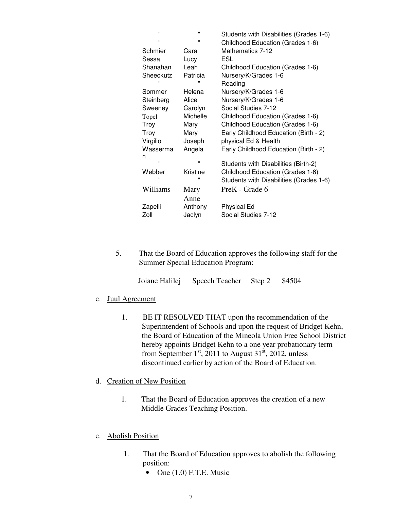| $\blacksquare$ | $\blacksquare$ | Students with Disabilities (Grades 1-6) |
|----------------|----------------|-----------------------------------------|
| $\blacksquare$ | $\blacksquare$ | Childhood Education (Grades 1-6)        |
| Schmier        | Cara           | Mathematics 7-12                        |
| Sessa          | Lucy           | ESL                                     |
| Shanahan       | Leah           | Childhood Education (Grades 1-6)        |
| Sheeckutz      | Patricia       | Nursery/K/Grades 1-6                    |
| "              | $\blacksquare$ | Reading                                 |
| Sommer         | Helena         | Nursery/K/Grades 1-6                    |
| Steinberg      | Alice          | Nursery/K/Grades 1-6                    |
| Sweeney        | Carolyn        | Social Studies 7-12                     |
| Topel          | Michelle       | Childhood Education (Grades 1-6)        |
| Troy           | Mary           | Childhood Education (Grades 1-6)        |
| <b>Troy</b>    | Mary           | Early Childhood Education (Birth - 2)   |
| Virgilio       | Joseph         | physical Ed & Health                    |
| Wasserma       | Angela         | Early Childhood Education (Birth - 2)   |
| n              |                |                                         |
| $\blacksquare$ | $\blacksquare$ | Students with Disabilities (Birth-2)    |
| Webber         | Kristine       | Childhood Education (Grades 1-6)        |
| π              | π              | Students with Disabilities (Grades 1-6) |
| Williams       | Mary           | PreK - Grade 6                          |
|                | Anne           |                                         |
| Zapelli        | Anthony        | <b>Physical Ed</b>                      |
| Zoll           | Jaclyn         | Social Studies 7-12                     |
|                |                |                                         |

5. That the Board of Education approves the following staff for the Summer Special Education Program:

|  | Joiane Halilej Speech Teacher Step 2 \$4504 |  |  |
|--|---------------------------------------------|--|--|
|--|---------------------------------------------|--|--|

- c. Juul Agreement
	- 1. BE IT RESOLVED THAT upon the recommendation of the Superintendent of Schools and upon the request of Bridget Kehn, the Board of Education of the Mineola Union Free School District hereby appoints Bridget Kehn to a one year probationary term from September  $1<sup>st</sup>$ , 2011 to August 31 $<sup>st</sup>$ , 2012, unless</sup> discontinued earlier by action of the Board of Education.

## d. Creation of New Position

1. That the Board of Education approves the creation of a new Middle Grades Teaching Position.

#### e. Abolish Position

- 1. That the Board of Education approves to abolish the following position:
	- One  $(1.0)$  F.T.E. Music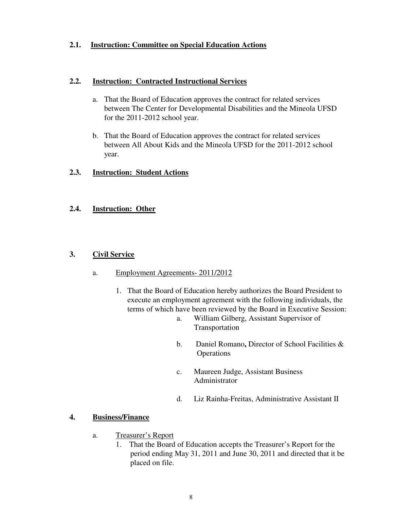## **2.1. Instruction: Committee on Special Education Actions**

#### **2.2. Instruction: Contracted Instructional Services**

- a. That the Board of Education approves the contract for related services between The Center for Developmental Disabilities and the Mineola UFSD for the 2011-2012 school year.
- b. That the Board of Education approves the contract for related services between All About Kids and the Mineola UFSD for the 2011-2012 school year.

### **2.3. Instruction: Student Actions**

### **2.4. Instruction: Other**

### **3. Civil Service**

#### a. Employment Agreements- 2011/2012

- 1. That the Board of Education hereby authorizes the Board President to execute an employment agreement with the following individuals, the terms of which have been reviewed by the Board in Executive Session:
	- a. William Gilberg, Assistant Supervisor of Transportation
	- b. Daniel Romano**,** Director of School Facilities & **Operations**
	- c. Maureen Judge, Assistant Business Administrator
	- d. Liz Rainha-Freitas, Administrative Assistant II

#### **4. Business/Finance**

- a. Treasurer's Report
	- 1. That the Board of Education accepts the Treasurer's Report for the period ending May 31, 2011 and June 30, 2011 and directed that it be placed on file.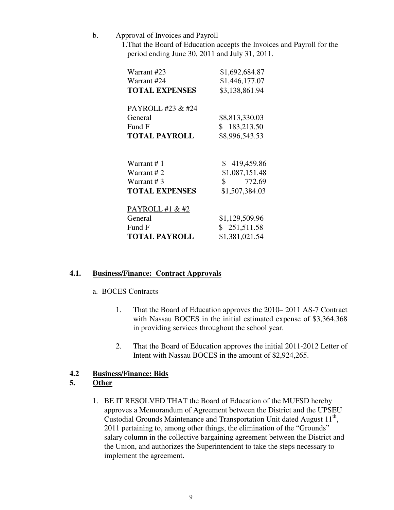- b. Approval of Invoices and Payroll
	- 1.That the Board of Education accepts the Invoices and Payroll for the period ending June 30, 2011 and July 31, 2011.

| Warrant #23                  | \$1,692,684.87                     |
|------------------------------|------------------------------------|
| Warrant #24                  | \$1,446,177.07                     |
| <b>TOTAL EXPENSES</b>        | \$3,138,861.94                     |
| PAYROLL #23 & #24<br>General | \$8,813,330.03                     |
| Fund F                       | \$183,213.50                       |
| <b>TOTAL PAYROLL</b>         | \$8,996,543.53                     |
| Warrant #1                   | \$419,459.86                       |
| Warrant #2                   | \$1,087,151.48                     |
| Warrant #3                   | $\frac{\text{I}}{\text{I}}$ 772.69 |
| <b>TOTAL EXPENSES</b>        | \$1,507,384.03                     |
| PAYROLL #1 & #2              |                                    |
| General                      | \$1,129,509.96                     |
| Fund F                       | \$251,511.58                       |
| <b>TOTAL PAYROLL</b>         | \$1,381,021.54                     |

## **4.1. Business/Finance: Contract Approvals**

#### a. BOCES Contracts

- 1. That the Board of Education approves the 2010– 2011 AS-7 Contract with Nassau BOCES in the initial estimated expense of \$3,364,368 in providing services throughout the school year.
- 2. That the Board of Education approves the initial 2011-2012 Letter of Intent with Nassau BOCES in the amount of \$2,924,265.

## **4.2 Business/Finance: Bids**

## **5. Other**

1. BE IT RESOLVED THAT the Board of Education of the MUFSD hereby approves a Memorandum of Agreement between the District and the UPSEU Custodial Grounds Maintenance and Transportation Unit dated August  $11<sup>th</sup>$ , 2011 pertaining to, among other things, the elimination of the "Grounds" salary column in the collective bargaining agreement between the District and the Union, and authorizes the Superintendent to take the steps necessary to implement the agreement.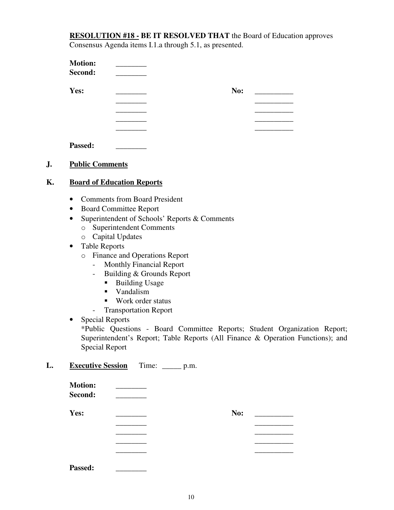**RESOLUTION #18 - BE IT RESOLVED THAT** the Board of Education approves Consensus Agenda items I.1.a through 5.1, as presented.

| <b>Motion:</b><br>Second: |     |
|---------------------------|-----|
| Yes:                      | No: |
|                           |     |
|                           |     |
|                           |     |
|                           |     |

Passed:

## **J. Public Comments**

## **K. Board of Education Reports**

- Comments from Board President
- Board Committee Report
- Superintendent of Schools' Reports & Comments
	- o Superintendent Comments
	- o Capital Updates
- Table Reports
	- o Finance and Operations Report
		- Monthly Financial Report
		- Building & Grounds Report
			- Building Usage
			- **vandalism**
			- Work order status
		- Transportation Report

## • Special Reports

\*Public Questions - Board Committee Reports; Student Organization Report; Superintendent's Report; Table Reports (All Finance & Operation Functions); and Special Report

## **L. Executive Session** Time: \_\_\_\_\_ p.m.

| <b>Motion:</b><br>Second: |     |
|---------------------------|-----|
| Yes:                      | No: |
|                           |     |
|                           |     |
|                           |     |
|                           |     |